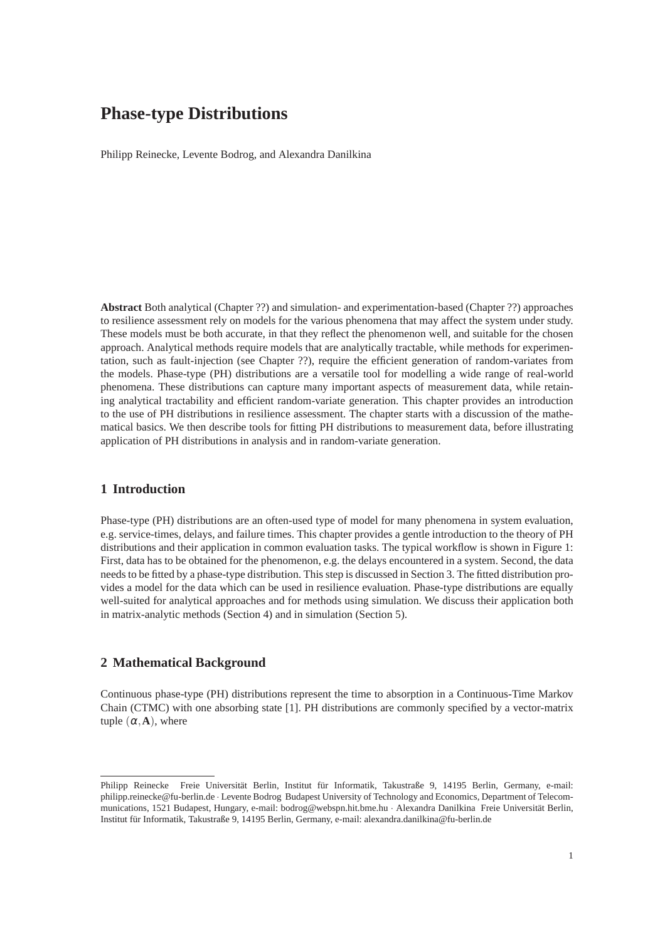Philipp Reinecke, Levente Bodrog, and Alexandra Danilkina

**Abstract** Both analytical (Chapter ??) and simulation- and experimentation-based (Chapter ??) approaches to resilience assessment rely on models for the various phenomena that may affect the system under study. These models must be both accurate, in that they reflect the phenomenon well, and suitable for the chosen approach. Analytical methods require models that are analytically tractable, while methods for experimentation, such as fault-injection (see Chapter ??), require the efficient generation of random-variates from the models. Phase-type (PH) distributions are a versatile tool for modelling a wide range of real-world phenomena. These distributions can capture many important aspects of measurement data, while retaining analytical tractability and efficient random-variate generation. This chapter provides an introduction to the use of PH distributions in resilience assessment. The chapter starts with a discussion of the mathematical basics. We then describe tools for fitting PH distributions to measurement data, before illustrating application of PH distributions in analysis and in random-variate generation.

# **1 Introduction**

Phase-type (PH) distributions are an often-used type of model for many phenomena in system evaluation, e.g. service-times, delays, and failure times. This chapter provides a gentle introduction to the theory of PH distributions and their application in common evaluation tasks. The typical workflow is shown in Figure 1: First, data has to be obtained for the phenomenon, e.g. the delays encountered in a system. Second, the data needs to be fitted by a phase-type distribution. This step is discussed in Section 3. The fitted distribution provides a model for the data which can be used in resilience evaluation. Phase-type distributions are equally well-suited for analytical approaches and for methods using simulation. We discuss their application both in matrix-analytic methods (Section 4) and in simulation (Section 5).

# **2 Mathematical Background**

Continuous phase-type (PH) distributions represent the time to absorption in a Continuous-Time Markov Chain (CTMC) with one absorbing state [1]. PH distributions are commonly specified by a vector-matrix tuple  $(\alpha, \mathbf{A})$ , where

Philipp Reinecke Freie Universität Berlin, Institut für Informatik, Takustraße 9, 14195 Berlin, Germany, e-mail: philipp.reinecke@fu-berlin.de · Levente Bodrog Budapest University of Technology and Economics, Department of Telecommunications, 1521 Budapest, Hungary, e-mail: bodrog@webspn.hit.bme.hu · Alexandra Danilkina Freie Universität Berlin, Institut für Informatik, Takustraße 9, 14195 Berlin, Germany, e-mail: alexandra.danilkina@fu-berlin.de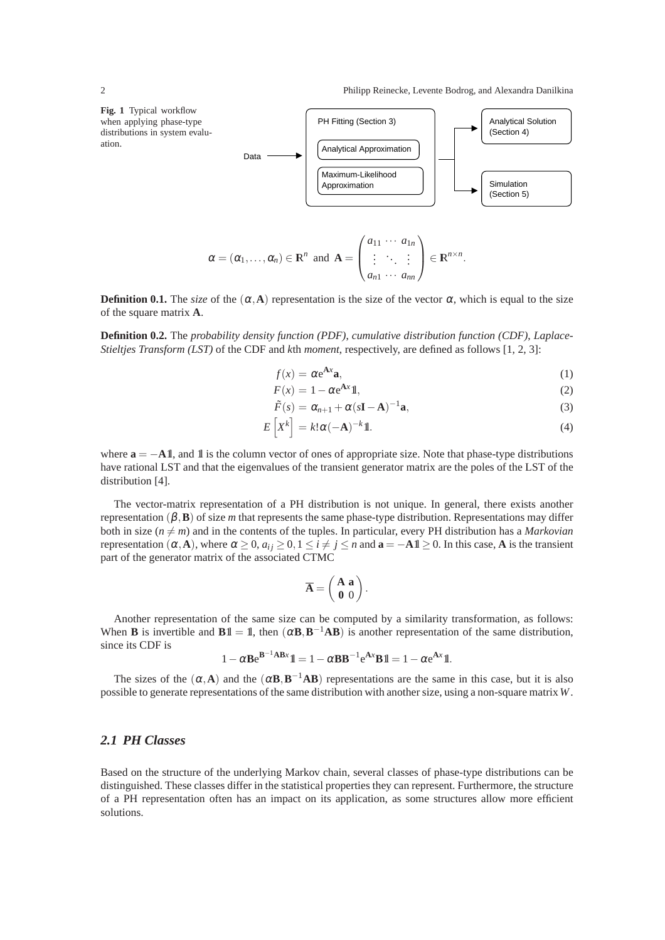

$$
\alpha = (\alpha_1, ..., \alpha_n) \in \mathbb{R}^n \text{ and } \mathbf{A} = \begin{pmatrix} a_{11} & \cdots & a_{1n} \\ \vdots & \ddots & \vdots \\ a_{n1} & \cdots & a_{nn} \end{pmatrix} \in \mathbb{R}^{n \times n}.
$$

**Definition 0.1.** The *size* of the  $(\alpha, A)$  representation is the size of the vector  $\alpha$ , which is equal to the size of the square matrix **A**.

**Definition 0.2.** The *probability density function (PDF)*, *cumulative distribution function (CDF)*, *Laplace-Stieltjes Transform (LST)* of the CDF and *k*th *moment*, respectively, are defined as follows [1, 2, 3]:

$$
f(x) = \alpha e^{\mathbf{A}x} \mathbf{a},\tag{1}
$$

$$
F(x) = 1 - \alpha e^{\mathbf{A}x} \mathbf{1},\tag{2}
$$

$$
\tilde{F}(s) = \alpha_{n+1} + \alpha (s\mathbf{I} - \mathbf{A})^{-1} \mathbf{a},\tag{3}
$$

$$
E\left[X^{k}\right] = k!\alpha(-\mathbf{A})^{-k}\mathbb{1}.
$$
\n(4)

where  $\mathbf{a} = -\mathbf{A} \mathbf{I}$ , and  $\mathbf{I}$  is the column vector of ones of appropriate size. Note that phase-type distributions have rational LST and that the eigenvalues of the transient generator matrix are the poles of the LST of the distribution [4].

The vector-matrix representation of a PH distribution is not unique. In general, there exists another representation (β,**B**) of size *m* that represents the same phase-type distribution. Representations may differ both in size  $(n \neq m)$  and in the contents of the tuples. In particular, every PH distribution has a *Markovian* representation (α, A), where  $α ≥ 0$ ,  $a_{ij} ≥ 0$ ,  $1 ≤ i ≠ j ≤ n$  and  $a = −A1$ l ≥ 0. In this case, A is the transient part of the generator matrix of the associated CTMC

$$
\overline{\mathbf{A}} = \left(\begin{array}{c} \mathbf{A} & \mathbf{a} \\ \mathbf{0} & 0 \end{array}\right).
$$

Another representation of the same size can be computed by a similarity transformation, as follows: When **B** is invertible and **B**1l = 1, then  $(\alpha \mathbf{B}, \mathbf{B}^{-1} \mathbf{A} \mathbf{B})$  is another representation of the same distribution, since its CDF is

$$
1 - \alpha \mathbf{B} e^{\mathbf{B}^{-1} \mathbf{A} \mathbf{B} x} \mathbb{1} = 1 - \alpha \mathbf{B} \mathbf{B}^{-1} e^{\mathbf{A} x} \mathbf{B} \mathbb{1} = 1 - \alpha e^{\mathbf{A} x} \mathbb{1}.
$$

The sizes of the  $(\alpha, A)$  and the  $(\alpha B, B^{-1}AB)$  representations are the same in this case, but it is also possible to generate representations of the same distribution with another size, using a non-square matrix *W*.

# *2.1 PH Classes*

Based on the structure of the underlying Markov chain, several classes of phase-type distributions can be distinguished. These classes differ in the statistical properties they can represent. Furthermore, the structure of a PH representation often has an impact on its application, as some structures allow more efficient solutions.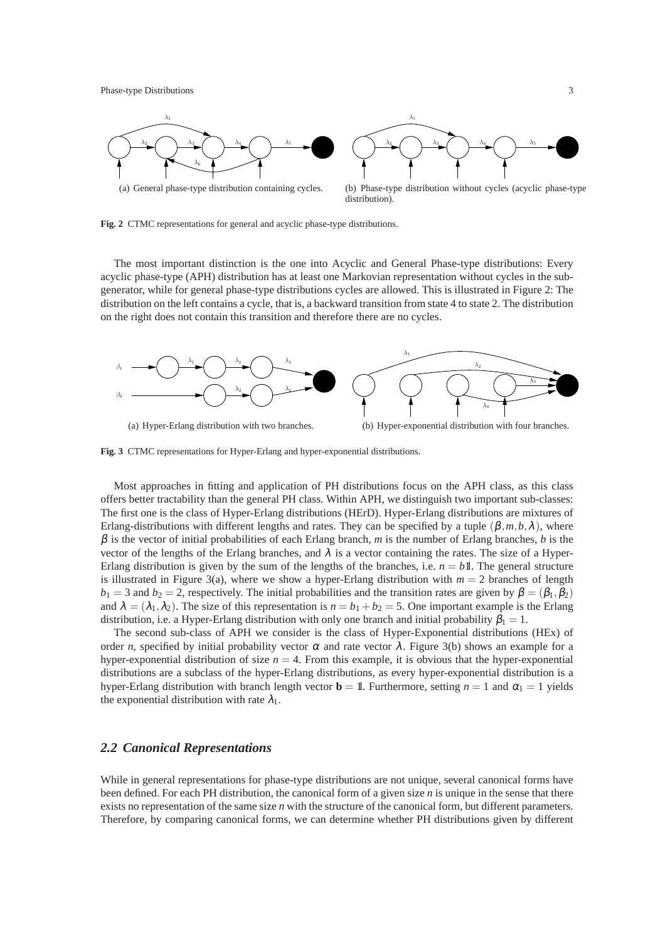

**Fig. 2** CTMC representations for general and acyclic phase-type distributions.

The most important distinction is the one into Acyclic and General Phase-type distributions: Every acyclic phase-type (APH) distribution has at least one Markovian representation without cycles in the subgenerator, while for general phase-type distributions cycles are allowed. This is illustrated in Figure 2: The distribution on the left contains a cycle, that is, a backward transition from state 4 to state 2. The distribution on the right does not contain this transition and therefore there are no cycles.



**Fig. 3** CTMC representations for Hyper-Erlang and hyper-exponential distributions.

Most approaches in fitting and application of PH distributions focus on the APH class, as this class offers better tractability than the general PH class. Within APH, we distinguish two important sub-classes: The first one is the class of Hyper-Erlang distributions (HErD). Hyper-Erlang distributions are mixtures of Erlang-distributions with different lengths and rates. They can be specified by a tuple  $(\beta, m, b, \lambda)$ , where  $\beta$  is the vector of initial probabilities of each Erlang branch, *m* is the number of Erlang branches, *b* is the vector of the lengths of the Erlang branches, and  $\lambda$  is a vector containing the rates. The size of a Hyper-Erlang distribution is given by the sum of the lengths of the branches, i.e.  $n = b$ 1l. The general structure is illustrated in Figure 3(a), where we show a hyper-Erlang distribution with  $m = 2$  branches of length  $b_1 = 3$  and  $b_2 = 2$ , respectively. The initial probabilities and the transition rates are given by  $\beta = (\beta_1, \beta_2)$ and  $\lambda = (\lambda_1, \lambda_2)$ . The size of this representation is  $n = b_1 + b_2 = 5$ . One important example is the Erlang distribution, i.e. a Hyper-Erlang distribution with only one branch and initial probability  $\beta_1 = 1$ .

The second sub-class of APH we consider is the class of Hyper-Exponential distributions (HEx) of order *n*, specified by initial probability vector  $\alpha$  and rate vector  $\lambda$ . Figure 3(b) shows an example for a hyper-exponential distribution of size  $n = 4$ . From this example, it is obvious that the hyper-exponential distributions are a subclass of the hyper-Erlang distributions, as every hyper-exponential distribution is a hyper-Erlang distribution with branch length vector **b** = 1. Furthermore, setting  $n = 1$  and  $\alpha_1 = 1$  yields the exponential distribution with rate  $\lambda_1$ .

### *2.2 Canonical Representations*

While in general representations for phase-type distributions are not unique, several canonical forms have been defined. For each PH distribution, the canonical form of a given size *n* is unique in the sense that there exists no representation of the same size *n* with the structure of the canonical form, but different parameters. Therefore, by comparing canonical forms, we can determine whether PH distributions given by different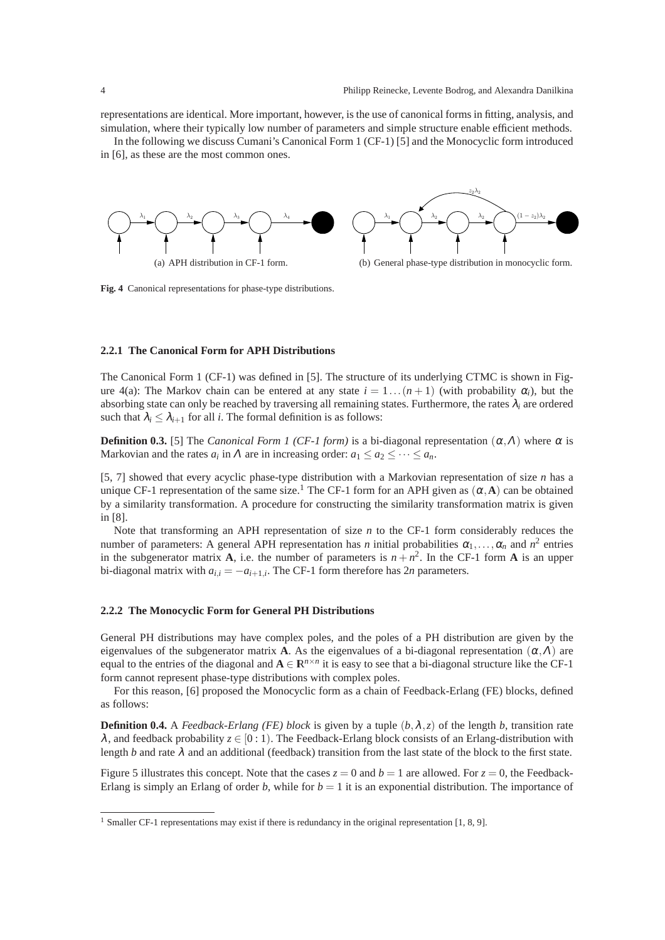representations are identical. More important, however, is the use of canonical forms in fitting, analysis, and simulation, where their typically low number of parameters and simple structure enable efficient methods.

In the following we discuss Cumani's Canonical Form 1 (CF-1) [5] and the Monocyclic form introduced in [6], as these are the most common ones.



**Fig. 4** Canonical representations for phase-type distributions.

#### **2.2.1 The Canonical Form for APH Distributions**

The Canonical Form 1 (CF-1) was defined in [5]. The structure of its underlying CTMC is shown in Figure 4(a): The Markov chain can be entered at any state  $i = 1 \dots (n+1)$  (with probability  $\alpha_i$ ), but the absorbing state can only be reached by traversing all remaining states. Furthermore, the rates  $\lambda_i$  are ordered such that  $\lambda_i \leq \lambda_{i+1}$  for all *i*. The formal definition is as follows:

**Definition 0.3.** [5] The *Canonical Form 1 (CF-1 form)* is a bi-diagonal representation  $(\alpha, \Lambda)$  where  $\alpha$  is Markovian and the rates  $a_i$  in  $\Lambda$  are in increasing order:  $a_1 \le a_2 \le \cdots \le a_n$ .

[5, 7] showed that every acyclic phase-type distribution with a Markovian representation of size *n* has a unique CF-1 representation of the same size.<sup>1</sup> The CF-1 form for an APH given as  $(\alpha, A)$  can be obtained by a similarity transformation. A procedure for constructing the similarity transformation matrix is given in [8].

Note that transforming an APH representation of size *n* to the CF-1 form considerably reduces the number of parameters: A general APH representation has *n* initial probabilities  $\alpha_1, \ldots, \alpha_n$  and  $n^2$  entries in the subgenerator matrix **A**, i.e. the number of parameters is  $n + n^2$ . In the CF-1 form **A** is an upper bi-diagonal matrix with  $a_{i,i} = -a_{i+1,i}$ . The CF-1 form therefore has  $2n$  parameters.

#### **2.2.2 The Monocyclic Form for General PH Distributions**

General PH distributions may have complex poles, and the poles of a PH distribution are given by the eigenvalues of the subgenerator matrix **A**. As the eigenvalues of a bi-diagonal representation  $(\alpha, \Lambda)$  are equal to the entries of the diagonal and  $A \in \mathbb{R}^{n \times n}$  it is easy to see that a bi-diagonal structure like the CF-1 form cannot represent phase-type distributions with complex poles.

For this reason, [6] proposed the Monocyclic form as a chain of Feedback-Erlang (FE) blocks, defined as follows:

**Definition 0.4.** A *Feedback-Erlang (FE) block* is given by a tuple  $(b, \lambda, z)$  of the length *b*, transition rate  $\lambda$ , and feedback probability  $z \in [0:1)$ . The Feedback-Erlang block consists of an Erlang-distribution with length *b* and rate  $\lambda$  and an additional (feedback) transition from the last state of the block to the first state.

Figure 5 illustrates this concept. Note that the cases  $z = 0$  and  $b = 1$  are allowed. For  $z = 0$ , the Feedback-Erlang is simply an Erlang of order *b*, while for  $b = 1$  it is an exponential distribution. The importance of

<sup>&</sup>lt;sup>1</sup> Smaller CF-1 representations may exist if there is redundancy in the original representation [1, 8, 9].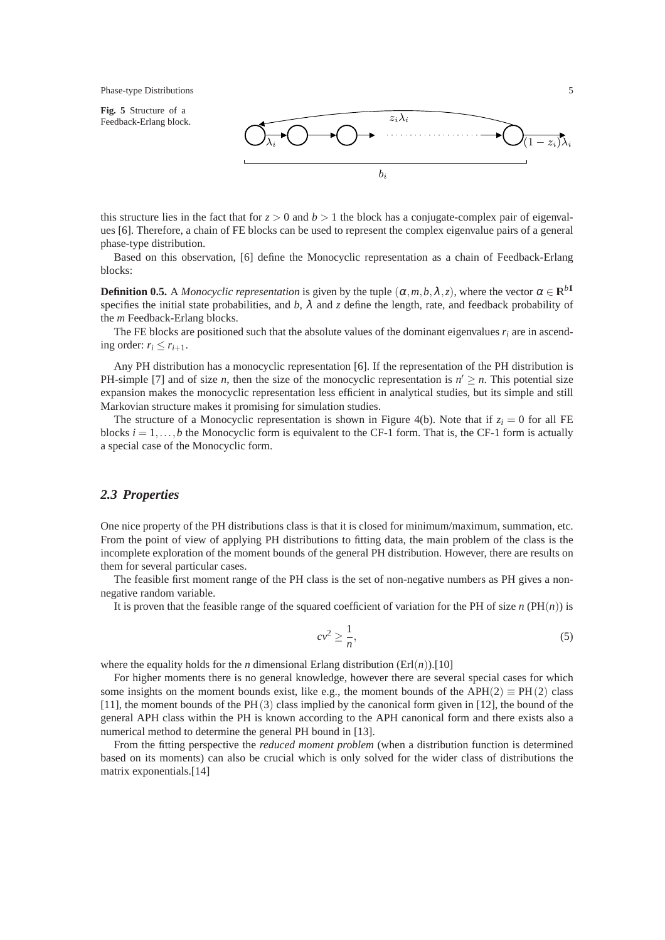

this structure lies in the fact that for  $z > 0$  and  $b > 1$  the block has a conjugate-complex pair of eigenvalues [6]. Therefore, a chain of FE blocks can be used to represent the complex eigenvalue pairs of a general phase-type distribution.

Based on this observation, [6] define the Monocyclic representation as a chain of Feedback-Erlang blocks:

**Definition 0.5.** A *Monocyclic representation* is given by the tuple  $(\alpha, m, b, \lambda, z)$ , where the vector  $\alpha \in \mathbb{R}^{b1}$ specifies the initial state probabilities, and  $b$ ,  $\lambda$  and  $\zeta$  define the length, rate, and feedback probability of the *m* Feedback-Erlang blocks.

The FE blocks are positioned such that the absolute values of the dominant eigenvalues  $r_i$  are in ascending order:  $r_i \leq r_{i+1}$ .

Any PH distribution has a monocyclic representation [6]. If the representation of the PH distribution is PH-simple [7] and of size *n*, then the size of the monocyclic representation is  $n' \geq n$ . This potential size expansion makes the monocyclic representation less efficient in analytical studies, but its simple and still Markovian structure makes it promising for simulation studies.

The structure of a Monocyclic representation is shown in Figure 4(b). Note that if  $z_i = 0$  for all FE blocks  $i = 1, \ldots, b$  the Monocyclic form is equivalent to the CF-1 form. That is, the CF-1 form is actually a special case of the Monocyclic form.

# *2.3 Properties*

One nice property of the PH distributions class is that it is closed for minimum/maximum, summation, etc. From the point of view of applying PH distributions to fitting data, the main problem of the class is the incomplete exploration of the moment bounds of the general PH distribution. However, there are results on them for several particular cases.

The feasible first moment range of the PH class is the set of non-negative numbers as PH gives a nonnegative random variable.

It is proven that the feasible range of the squared coefficient of variation for the PH of size  $n(PH(n))$  is

$$
cv^2 \ge \frac{1}{n},\tag{5}
$$

where the equality holds for the *n* dimensional Erlang distribution  $(Erl(n))$ .[10]

For higher moments there is no general knowledge, however there are several special cases for which some insights on the moment bounds exist, like e.g., the moment bounds of the APH(2)  $\equiv$  PH(2) class [11], the moment bounds of the PH(3) class implied by the canonical form given in [12], the bound of the general APH class within the PH is known according to the APH canonical form and there exists also a numerical method to determine the general PH bound in [13].

From the fitting perspective the *reduced moment problem* (when a distribution function is determined based on its moments) can also be crucial which is only solved for the wider class of distributions the matrix exponentials.[14]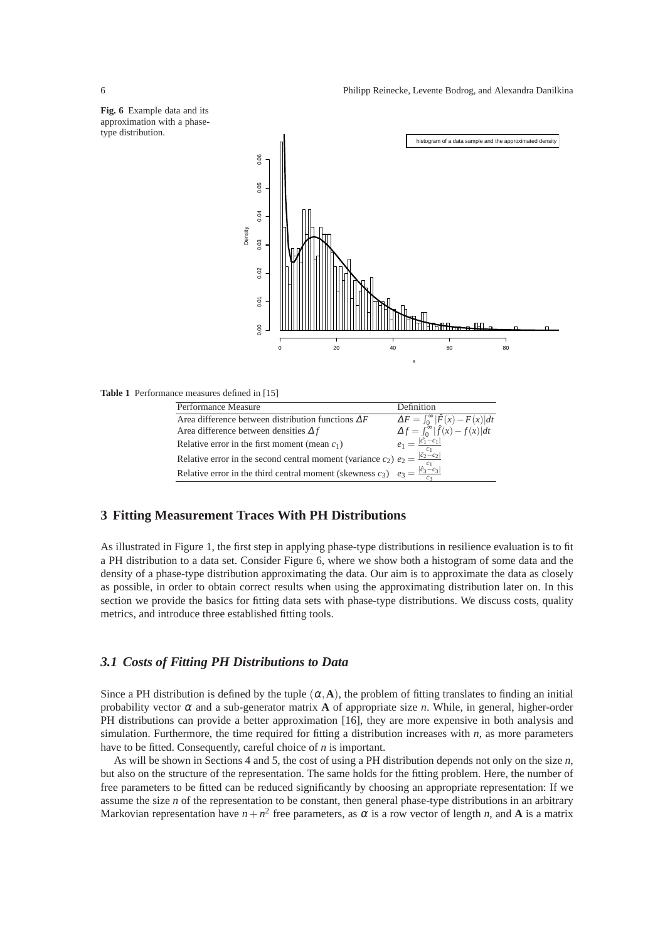

**Table 1** Performance measures defined in [15]

| Performance Measure                                                                                       | Definition                                        |
|-----------------------------------------------------------------------------------------------------------|---------------------------------------------------|
| Area difference between distribution functions $\Delta F$                                                 | $\Delta F = \int_0^\infty  \hat{F}(x) - F(x)  dt$ |
| Area difference between densities $\Delta f$                                                              | $\Delta f = \int_0^\infty  \hat{f}(x) - f(x)  dt$ |
| Relative error in the first moment (mean $c_1$ )                                                          | $e_1 = \frac{ \hat{c}_1 - c_1 }{ c_1 }$           |
| Relative error in the second central moment (variance $c_2$ ) $e_2 = \frac{ \hat{c}_2 - c_2 }{\hat{c}_2}$ |                                                   |
| Relative error in the third central moment (skewness $c_3$ ) $e_3 = \frac{ \hat{c}_3 - c_3 }{a}$          |                                                   |

## **3 Fitting Measurement Traces With PH Distributions**

As illustrated in Figure 1, the first step in applying phase-type distributions in resilience evaluation is to fit a PH distribution to a data set. Consider Figure 6, where we show both a histogram of some data and the density of a phase-type distribution approximating the data. Our aim is to approximate the data as closely as possible, in order to obtain correct results when using the approximating distribution later on. In this section we provide the basics for fitting data sets with phase-type distributions. We discuss costs, quality metrics, and introduce three established fitting tools.

## *3.1 Costs of Fitting PH Distributions to Data*

Since a PH distribution is defined by the tuple  $(\alpha, A)$ , the problem of fitting translates to finding an initial probability vector  $\alpha$  and a sub-generator matrix **A** of appropriate size *n*. While, in general, higher-order PH distributions can provide a better approximation [16], they are more expensive in both analysis and simulation. Furthermore, the time required for fitting a distribution increases with *n*, as more parameters have to be fitted. Consequently, careful choice of *n* is important.

As will be shown in Sections 4 and 5, the cost of using a PH distribution depends not only on the size *n*, but also on the structure of the representation. The same holds for the fitting problem. Here, the number of free parameters to be fitted can be reduced significantly by choosing an appropriate representation: If we assume the size *n* of the representation to be constant, then general phase-type distributions in an arbitrary Markovian representation have  $n + n^2$  free parameters, as  $\alpha$  is a row vector of length *n*, and **A** is a matrix

**Fig. 6** Example data and its approximation with a phase-

type distribution.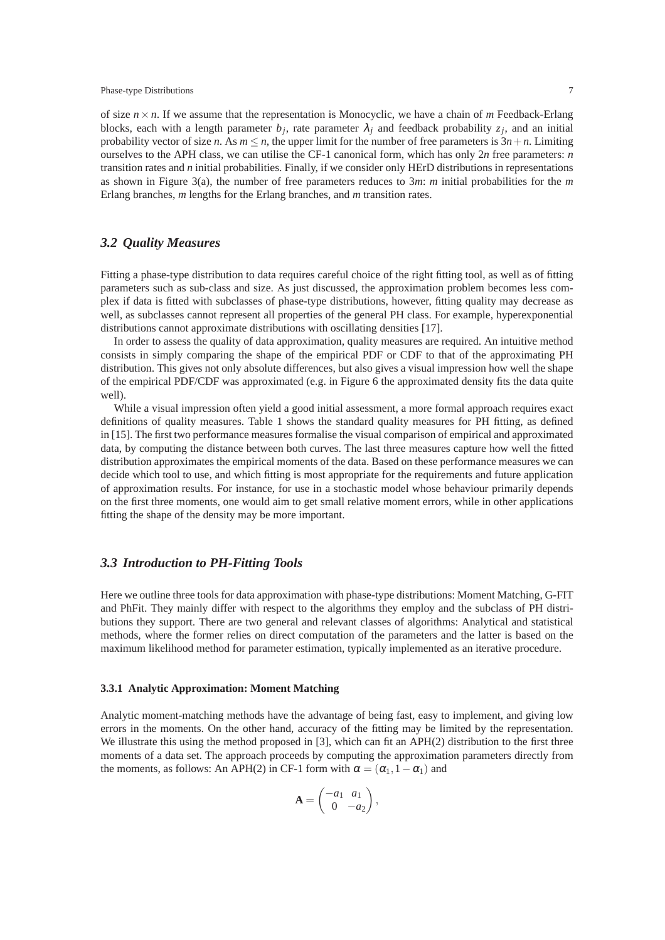of size  $n \times n$ . If we assume that the representation is Monocyclic, we have a chain of *m* Feedback-Erlang blocks, each with a length parameter  $b_j$ , rate parameter  $\lambda_j$  and feedback probability  $z_j$ , and an initial probability vector of size *n*. As  $m \le n$ , the upper limit for the number of free parameters is  $3n + n$ . Limiting ourselves to the APH class, we can utilise the CF-1 canonical form, which has only 2*n* free parameters: *n* transition rates and *n* initial probabilities. Finally, if we consider only HErD distributions in representations as shown in Figure 3(a), the number of free parameters reduces to 3*m*: *m* initial probabilities for the *m* Erlang branches, *m* lengths for the Erlang branches, and *m* transition rates.

# *3.2 Quality Measures*

Fitting a phase-type distribution to data requires careful choice of the right fitting tool, as well as of fitting parameters such as sub-class and size. As just discussed, the approximation problem becomes less complex if data is fitted with subclasses of phase-type distributions, however, fitting quality may decrease as well, as subclasses cannot represent all properties of the general PH class. For example, hyperexponential distributions cannot approximate distributions with oscillating densities [17].

In order to assess the quality of data approximation, quality measures are required. An intuitive method consists in simply comparing the shape of the empirical PDF or CDF to that of the approximating PH distribution. This gives not only absolute differences, but also gives a visual impression how well the shape of the empirical PDF/CDF was approximated (e.g. in Figure 6 the approximated density fits the data quite well).

While a visual impression often yield a good initial assessment, a more formal approach requires exact definitions of quality measures. Table 1 shows the standard quality measures for PH fitting, as defined in [15]. The first two performance measures formalise the visual comparison of empirical and approximated data, by computing the distance between both curves. The last three measures capture how well the fitted distribution approximates the empirical moments of the data. Based on these performance measures we can decide which tool to use, and which fitting is most appropriate for the requirements and future application of approximation results. For instance, for use in a stochastic model whose behaviour primarily depends on the first three moments, one would aim to get small relative moment errors, while in other applications fitting the shape of the density may be more important.

## *3.3 Introduction to PH-Fitting Tools*

Here we outline three tools for data approximation with phase-type distributions: Moment Matching, G-FIT and PhFit. They mainly differ with respect to the algorithms they employ and the subclass of PH distributions they support. There are two general and relevant classes of algorithms: Analytical and statistical methods, where the former relies on direct computation of the parameters and the latter is based on the maximum likelihood method for parameter estimation, typically implemented as an iterative procedure.

#### **3.3.1 Analytic Approximation: Moment Matching**

Analytic moment-matching methods have the advantage of being fast, easy to implement, and giving low errors in the moments. On the other hand, accuracy of the fitting may be limited by the representation. We illustrate this using the method proposed in [3], which can fit an APH(2) distribution to the first three moments of a data set. The approach proceeds by computing the approximation parameters directly from the moments, as follows: An APH(2) in CF-1 form with  $\alpha = (\alpha_1, 1 - \alpha_1)$  and

$$
\mathbf{A} = \begin{pmatrix} -a_1 & a_1 \\ 0 & -a_2 \end{pmatrix},
$$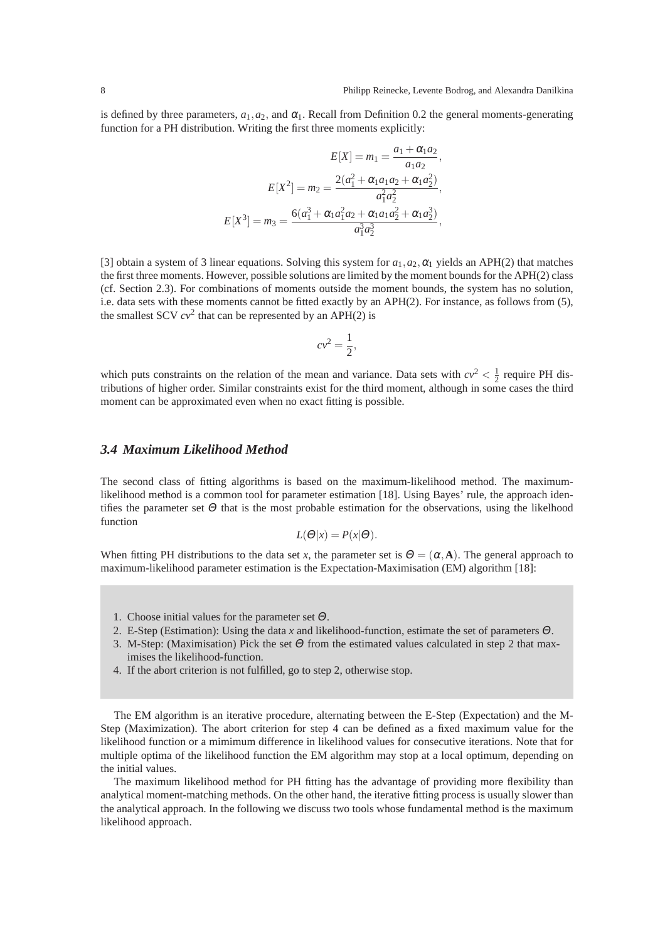is defined by three parameters,  $a_1, a_2$ , and  $\alpha_1$ . Recall from Definition 0.2 the general moments-generating function for a PH distribution. Writing the first three moments explicitly:

$$
E[X] = m_1 = \frac{a_1 + \alpha_1 a_2}{a_1 a_2},
$$

$$
E[X^2] = m_2 = \frac{2(a_1^2 + \alpha_1 a_1 a_2 + \alpha_1 a_2^2)}{a_1^2 a_2^2},
$$

$$
E[X^3] = m_3 = \frac{6(a_1^3 + \alpha_1 a_1^2 a_2 + \alpha_1 a_1 a_2^2 + \alpha_1 a_2^3)}{a_1^3 a_2^3},
$$

[3] obtain a system of 3 linear equations. Solving this system for  $a_1, a_2, \alpha_1$  yields an APH(2) that matches the first three moments. However, possible solutions are limited by the moment bounds for the APH(2) class (cf. Section 2.3). For combinations of moments outside the moment bounds, the system has no solution, i.e. data sets with these moments cannot be fitted exactly by an APH(2). For instance, as follows from (5), the smallest SCV  $cv^2$  that can be represented by an APH $(2)$  is

$$
cv^2 = \frac{1}{2},
$$

which puts constraints on the relation of the mean and variance. Data sets with  $cv^2 < \frac{1}{2}$  require PH distributions of higher order. Similar constraints exist for the third moment, although in some cases the third moment can be approximated even when no exact fitting is possible.

# *3.4 Maximum Likelihood Method*

The second class of fitting algorithms is based on the maximum-likelihood method. The maximumlikelihood method is a common tool for parameter estimation [18]. Using Bayes' rule, the approach identifies the parameter set  $\Theta$  that is the most probable estimation for the observations, using the likelhood function

$$
L(\Theta|x) = P(x|\Theta).
$$

When fitting PH distributions to the data set *x*, the parameter set is  $\Theta = (\alpha, \mathbf{A})$ . The general approach to maximum-likelihood parameter estimation is the Expectation-Maximisation (EM) algorithm [18]:

- 1. Choose initial values for the parameter set  $\Theta$ .
- 2. E-Step (Estimation): Using the data *x* and likelihood-function, estimate the set of parameters <sup>Θ</sup>.
- 3. M-Step: (Maximisation) Pick the set <sup>Θ</sup> from the estimated values calculated in step 2 that maximises the likelihood-function.
- 4. If the abort criterion is not fulfilled, go to step 2, otherwise stop.

The EM algorithm is an iterative procedure, alternating between the E-Step (Expectation) and the M-Step (Maximization). The abort criterion for step 4 can be defined as a fixed maximum value for the likelihood function or a mimimum difference in likelihood values for consecutive iterations. Note that for multiple optima of the likelihood function the EM algorithm may stop at a local optimum, depending on the initial values.

The maximum likelihood method for PH fitting has the advantage of providing more flexibility than analytical moment-matching methods. On the other hand, the iterative fitting process is usually slower than the analytical approach. In the following we discuss two tools whose fundamental method is the maximum likelihood approach.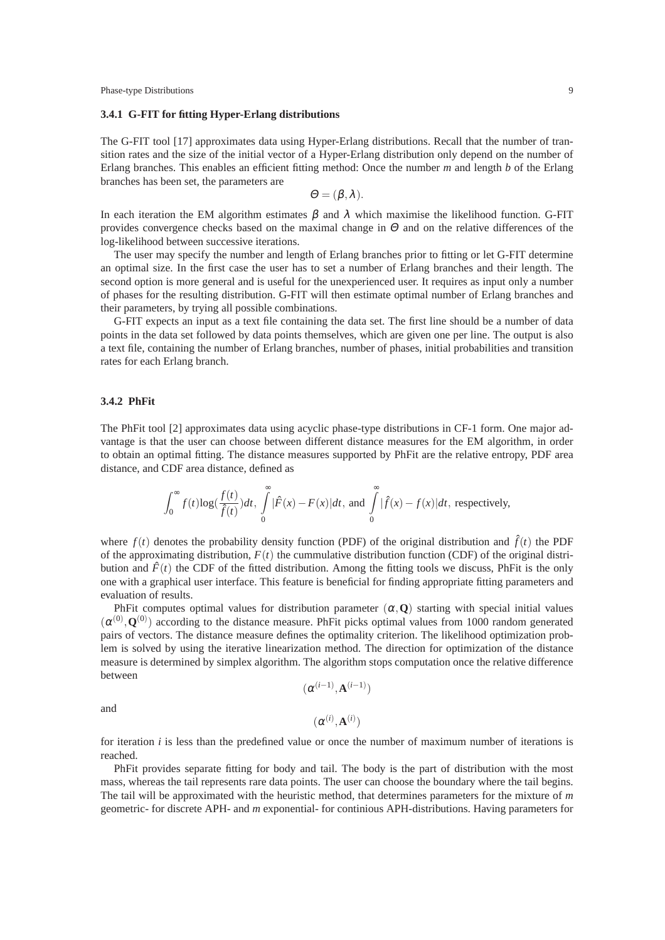#### **3.4.1 G-FIT for fitting Hyper-Erlang distributions**

The G-FIT tool [17] approximates data using Hyper-Erlang distributions. Recall that the number of transition rates and the size of the initial vector of a Hyper-Erlang distribution only depend on the number of Erlang branches. This enables an efficient fitting method: Once the number *m* and length *b* of the Erlang branches has been set, the parameters are

$$
\Theta = (\beta, \lambda).
$$

In each iteration the EM algorithm estimates  $\beta$  and  $\lambda$  which maximise the likelihood function. G-FIT provides convergence checks based on the maximal change in  $\Theta$  and on the relative differences of the log-likelihood between successive iterations.

The user may specify the number and length of Erlang branches prior to fitting or let G-FIT determine an optimal size. In the first case the user has to set a number of Erlang branches and their length. The second option is more general and is useful for the unexperienced user. It requires as input only a number of phases for the resulting distribution. G-FIT will then estimate optimal number of Erlang branches and their parameters, by trying all possible combinations.

G-FIT expects an input as a text file containing the data set. The first line should be a number of data points in the data set followed by data points themselves, which are given one per line. The output is also a text file, containing the number of Erlang branches, number of phases, initial probabilities and transition rates for each Erlang branch.

## **3.4.2 PhFit**

The PhFit tool [2] approximates data using acyclic phase-type distributions in CF-1 form. One major advantage is that the user can choose between different distance measures for the EM algorithm, in order to obtain an optimal fitting. The distance measures supported by PhFit are the relative entropy, PDF area distance, and CDF area distance, defined as

$$
\int_0^\infty f(t) \log(\frac{f(t)}{\hat{f}(t)}) dt, \int_0^\infty |\hat{F}(x) - F(x)| dt, \text{ and } \int_0^\infty |\hat{f}(x) - f(x)| dt, \text{ respectively,}
$$

where  $f(t)$  denotes the probability density function (PDF) of the original distribution and  $\hat{f}(t)$  the PDF of the approximating distribution,  $F(t)$  the cummulative distribution function (CDF) of the original distribution and  $\hat{F}(t)$  the CDF of the fitted distribution. Among the fitting tools we discuss, PhFit is the only one with a graphical user interface. This feature is beneficial for finding appropriate fitting parameters and evaluation of results.

PhFit computes optimal values for distribution parameter  $(\alpha, \mathbf{Q})$  starting with special initial values  $(\alpha^{(0)}, \mathbf{Q}^{(0)})$  according to the distance measure. PhFit picks optimal values from 1000 random generated pairs of vectors. The distance measure defines the optimality criterion. The likelihood optimization problem is solved by using the iterative linearization method. The direction for optimization of the distance measure is determined by simplex algorithm. The algorithm stops computation once the relative difference between

$$
(\boldsymbol{\alpha}^{(i-1)}, \mathbf{A}^{(i-1)})
$$

and

$$
(\alpha^{(i)},\mathbf{A}^{(i)})
$$

for iteration *i* is less than the predefined value or once the number of maximum number of iterations is reached.

PhFit provides separate fitting for body and tail. The body is the part of distribution with the most mass, whereas the tail represents rare data points. The user can choose the boundary where the tail begins. The tail will be approximated with the heuristic method, that determines parameters for the mixture of *m* geometric- for discrete APH- and *m* exponential- for continious APH-distributions. Having parameters for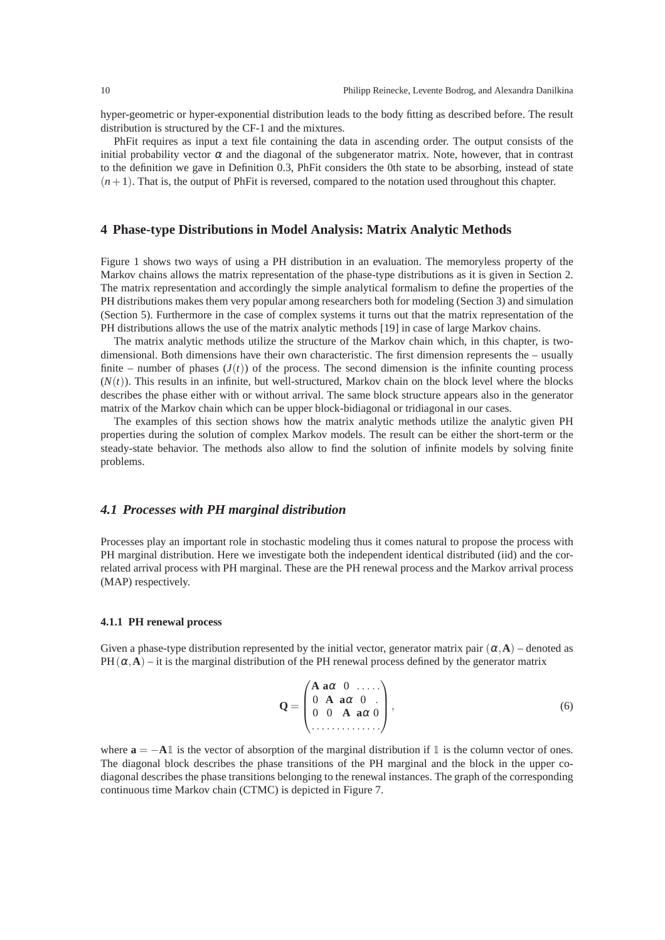hyper-geometric or hyper-exponential distribution leads to the body fitting as described before. The result distribution is structured by the CF-1 and the mixtures.

PhFit requires as input a text file containing the data in ascending order. The output consists of the initial probability vector  $\alpha$  and the diagonal of the subgenerator matrix. Note, however, that in contrast to the definition we gave in Definition 0.3, PhFit considers the 0th state to be absorbing, instead of state  $(n+1)$ . That is, the output of PhFit is reversed, compared to the notation used throughout this chapter.

## **4 Phase-type Distributions in Model Analysis: Matrix Analytic Methods**

Figure 1 shows two ways of using a PH distribution in an evaluation. The memoryless property of the Markov chains allows the matrix representation of the phase-type distributions as it is given in Section 2. The matrix representation and accordingly the simple analytical formalism to define the properties of the PH distributions makes them very popular among researchers both for modeling (Section 3) and simulation (Section 5). Furthermore in the case of complex systems it turns out that the matrix representation of the PH distributions allows the use of the matrix analytic methods [19] in case of large Markov chains.

The matrix analytic methods utilize the structure of the Markov chain which, in this chapter, is twodimensional. Both dimensions have their own characteristic. The first dimension represents the – usually finite – number of phases  $(J(t))$  of the process. The second dimension is the infinite counting process  $(N(t))$ . This results in an infinite, but well-structured, Markov chain on the block level where the blocks describes the phase either with or without arrival. The same block structure appears also in the generator matrix of the Markov chain which can be upper block-bidiagonal or tridiagonal in our cases.

The examples of this section shows how the matrix analytic methods utilize the analytic given PH properties during the solution of complex Markov models. The result can be either the short-term or the steady-state behavior. The methods also allow to find the solution of infinite models by solving finite problems.

#### *4.1 Processes with PH marginal distribution*

Processes play an important role in stochastic modeling thus it comes natural to propose the process with PH marginal distribution. Here we investigate both the independent identical distributed (iid) and the correlated arrival process with PH marginal. These are the PH renewal process and the Markov arrival process (MAP) respectively.

#### **4.1.1 PH renewal process**

Given a phase-type distribution represented by the initial vector, generator matrix pair  $(\alpha, \mathbf{A})$  – denoted as PH( $\alpha$ , $\bf{A}$ ) – it is the marginal distribution of the PH renewal process defined by the generator matrix

$$
\mathbf{Q} = \begin{pmatrix} \mathbf{A} & \mathbf{a}\alpha & 0 & \dots \\ 0 & \mathbf{A} & \mathbf{a}\alpha & 0 \\ 0 & 0 & \mathbf{A} & \mathbf{a}\alpha & 0 \\ \vdots & \vdots & \vdots & \ddots & \vdots \\ \end{pmatrix}, \tag{6}
$$

where  $\mathbf{a} = -\mathbf{A} \mathbb{I}$  is the vector of absorption of the marginal distribution if  $\mathbb{I}$  is the column vector of ones. The diagonal block describes the phase transitions of the PH marginal and the block in the upper codiagonal describes the phase transitions belonging to the renewal instances. The graph of the corresponding continuous time Markov chain (CTMC) is depicted in Figure 7.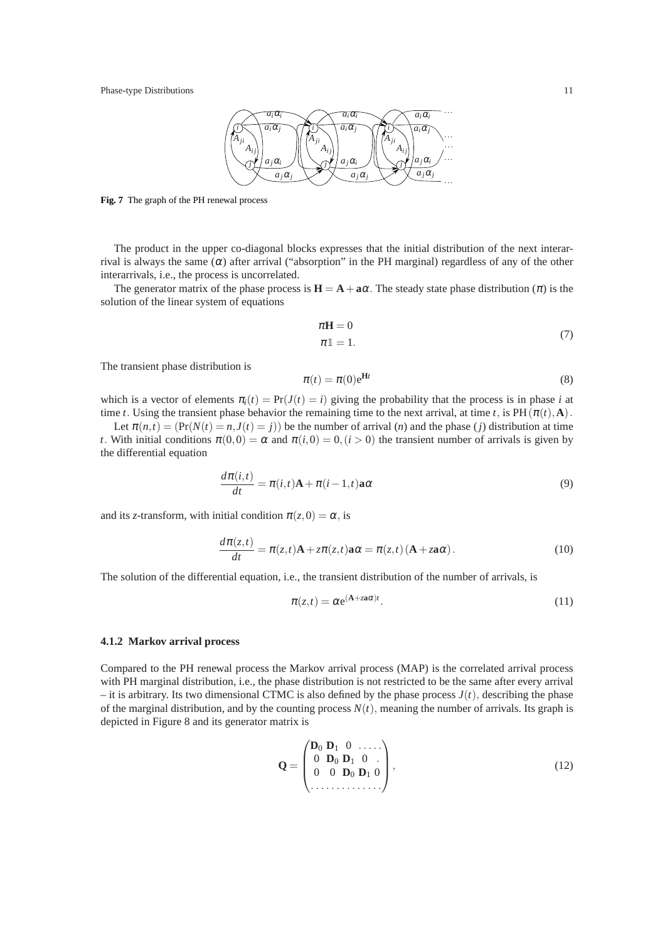

**Fig. 7** The graph of the PH renewal process

The product in the upper co-diagonal blocks expresses that the initial distribution of the next interarrival is always the same  $(\alpha)$  after arrival ("absorption" in the PH marginal) regardless of any of the other interarrivals, i.e., the process is uncorrelated.

The generator matrix of the phase process is  $H = A + a\alpha$ . The steady state phase distribution ( $\pi$ ) is the solution of the linear system of equations

$$
\pi \mathbf{H} = 0 \tag{7}
$$

$$
\pi \mathbb{1} = 1.
$$

The transient phase distribution is

$$
\pi(t) = \pi(0)e^{\mathbf{H}t}
$$
\n(8)

which is a vector of elements  $\pi_i(t) = \Pr(J(t) = i)$  giving the probability that the process is in phase *i* at time *t*. Using the transient phase behavior the remaining time to the next arrival, at time *t*, is  $PH(\pi(t), \mathbf{A})$ .

Let  $\pi(n,t) = (Pr(N(t) = n, J(t) = i))$  be the number of arrival (*n*) and the phase (*j*) distribution at time *t*. With initial conditions  $\pi(0,0) = \alpha$  and  $\pi(i,0) = 0$ ,  $(i > 0)$  the transient number of arrivals is given by the differential equation

$$
\frac{d\pi(i,t)}{dt} = \pi(i,t)\mathbf{A} + \pi(i-1,t)\mathbf{a}\alpha\tag{9}
$$

and its *z*-transform, with initial condition  $\pi(z,0) = \alpha$ , is

$$
\frac{d\pi(z,t)}{dt} = \pi(z,t)\mathbf{A} + z\pi(z,t)\mathbf{a}\alpha = \pi(z,t)\left(\mathbf{A} + z\mathbf{a}\alpha\right).
$$
 (10)

The solution of the differential equation, i.e., the transient distribution of the number of arrivals, is

$$
\pi(z,t) = \alpha e^{(\mathbf{A} + z\mathbf{a}\alpha)t}.
$$
\n(11)

#### **4.1.2 Markov arrival process**

Compared to the PH renewal process the Markov arrival process (MAP) is the correlated arrival process with PH marginal distribution, i.e., the phase distribution is not restricted to be the same after every arrival – it is arbitrary. Its two dimensional CTMC is also defined by the phase process  $J(t)$ , describing the phase of the marginal distribution, and by the counting process  $N(t)$ , meaning the number of arrivals. Its graph is depicted in Figure 8 and its generator matrix is

$$
\mathbf{Q} = \begin{pmatrix} \mathbf{D}_0 & \mathbf{D}_1 & 0 & \dots \\ 0 & \mathbf{D}_0 & \mathbf{D}_1 & 0 \\ 0 & 0 & \mathbf{D}_0 & \mathbf{D}_1 & 0 \\ \vdots & \vdots & \vdots & \ddots & \vdots \\ 0 & 0 & \mathbf{D}_0 & \mathbf{D}_1 & 0 \end{pmatrix},
$$
(12)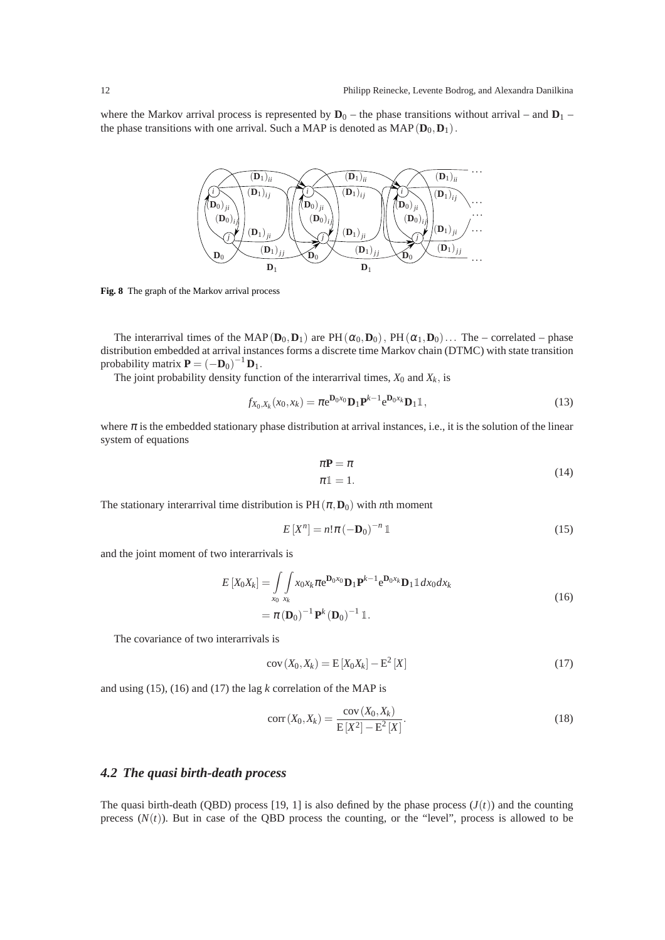where the Markov arrival process is represented by  $\mathbf{D}_0$  – the phase transitions without arrival – and  $\mathbf{D}_1$  – the phase transitions with one arrival. Such a MAP is denoted as  $MAP(\mathbf{D}_0, \mathbf{D}_1)$ .



**Fig. 8** The graph of the Markov arrival process

The interarrival times of the MAP( $D_0$ , $D_1$ ) are PH( $\alpha_0$ , $D_0$ ), PH( $\alpha_1$ , $D_0$ )... The – correlated – phase distribution embedded at arrival instances forms a discrete time Markov chain (DTMC) with state transition probability matrix  $\mathbf{P} = (-\mathbf{D}_0)^{-1} \mathbf{D}_1$ .

The joint probability density function of the interarrival times,  $X_0$  and  $X_k$ , is

$$
f_{X_0,X_k}(x_0,x_k) = \pi \mathbf{e}^{\mathbf{D}_0 x_0} \mathbf{D}_1 \mathbf{P}^{k-1} \mathbf{e}^{\mathbf{D}_0 x_k} \mathbf{D}_1 \mathbb{1},\tag{13}
$$

where  $\pi$  is the embedded stationary phase distribution at arrival instances, i.e., it is the solution of the linear system of equations

$$
\pi \mathbf{P} = \pi \tag{14}
$$
\n
$$
\pi \mathbb{1} = 1.
$$

The stationary interarrival time distribution is  $PH(\pi, D_0)$  with *n*th moment

$$
E[Xn] = n!\pi(-\mathbf{D}_0)^{-n} \mathbb{1}
$$
\n(15)

and the joint moment of two interarrivals is

$$
E\left[X_0X_k\right] = \int\limits_{x_0} \int\limits_{x_k} x_0x_k \pi \mathrm{e}^{\mathbf{D}_0x_0} \mathbf{D}_1 \mathbf{P}^{k-1} \mathrm{e}^{\mathbf{D}_0x_k} \mathbf{D}_1 \mathbb{1} dx_0 dx_k
$$
  
=  $\pi \left(\mathbf{D}_0\right)^{-1} \mathbf{P}^k \left(\mathbf{D}_0\right)^{-1} \mathbb{1}.$  (16)

The covariance of two interarrivals is

$$
cov(X_0, X_k) = E[X_0X_k] - E^2[X]
$$
\n(17)

and using (15), (16) and (17) the lag *k* correlation of the MAP is

$$
corr(X_0, X_k) = \frac{cov(X_0, X_k)}{E[X^2] - E^2[X]}.
$$
\n(18)

#### *4.2 The quasi birth-death process*

The quasi birth-death (OBD) process [19, 1] is also defined by the phase process  $(J(t))$  and the counting precess  $(N(t))$ . But in case of the QBD process the counting, or the "level", process is allowed to be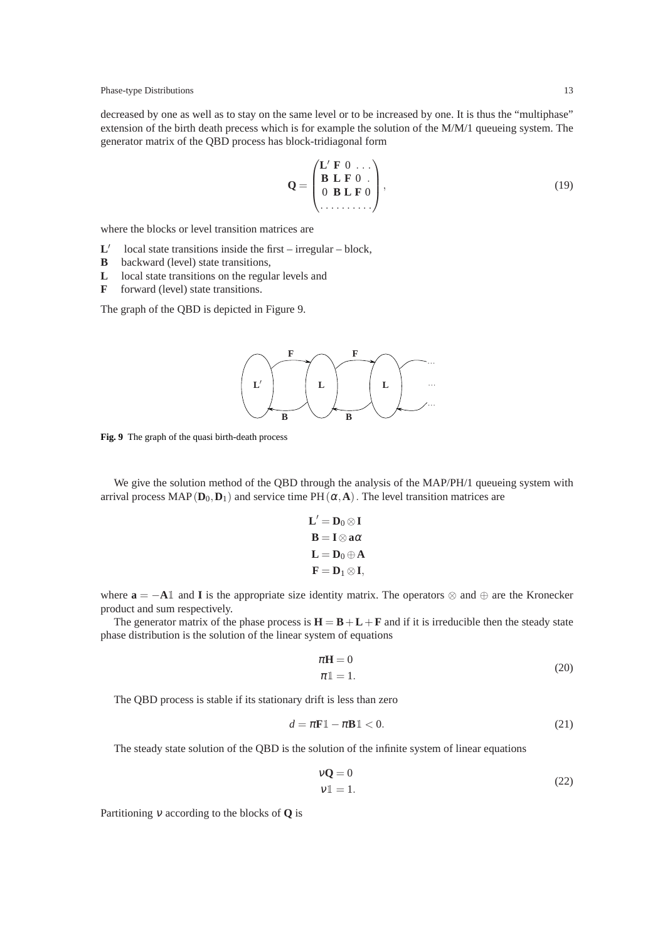decreased by one as well as to stay on the same level or to be increased by one. It is thus the "multiphase" extension of the birth death precess which is for example the solution of the M/M/1 queueing system. The generator matrix of the QBD process has block-tridiagonal form

$$
\mathbf{Q} = \begin{pmatrix} \mathbf{L}' & \mathbf{F} & 0 & \dots \\ \mathbf{B} & \mathbf{L} & \mathbf{F} & 0 \\ 0 & \mathbf{B} & \mathbf{L} & \mathbf{F} & 0 \\ \dots & \dots & \dots & \dots \end{pmatrix},\tag{19}
$$

where the blocks or level transition matrices are

- **L** ′ local state transitions inside the first – irregular – block,
- **B** backward (level) state transitions,
- **L** local state transitions on the regular levels and
- **F** forward (level) state transitions.

The graph of the QBD is depicted in Figure 9.



**Fig. 9** The graph of the quasi birth-death process

We give the solution method of the QBD through the analysis of the MAP/PH/1 queueing system with arrival process MAP( $D_0$ , $D_1$ ) and service time PH( $\alpha$ , $A$ ). The level transition matrices are

$$
L' = D_0 \otimes I
$$

$$
B = I \otimes a\alpha
$$

$$
L = D_0 \oplus A
$$

$$
F = D_1 \otimes I,
$$

where  $\mathbf{a} = -\mathbf{A} \mathbb{1}$  and **I** is the appropriate size identity matrix. The operators  $\otimes$  and  $\oplus$  are the Kronecker product and sum respectively.

The generator matrix of the phase process is  $H = B + L + F$  and if it is irreducible then the steady state phase distribution is the solution of the linear system of equations

$$
\pi \mathbf{H} = 0
$$
  
\n
$$
\pi \mathbb{1} = 1.
$$
\n(20)

The QBD process is stable if its stationary drift is less than zero

$$
d = \pi \mathbf{F} \mathbb{1} - \pi \mathbf{B} \mathbb{1} < 0. \tag{21}
$$

The steady state solution of the QBD is the solution of the infinite system of linear equations

$$
\mathbf{vQ} = 0
$$
  
\n
$$
\mathbf{v1} = 1.
$$
 (22)

Partitioning <sup>ν</sup> according to the blocks of **Q** is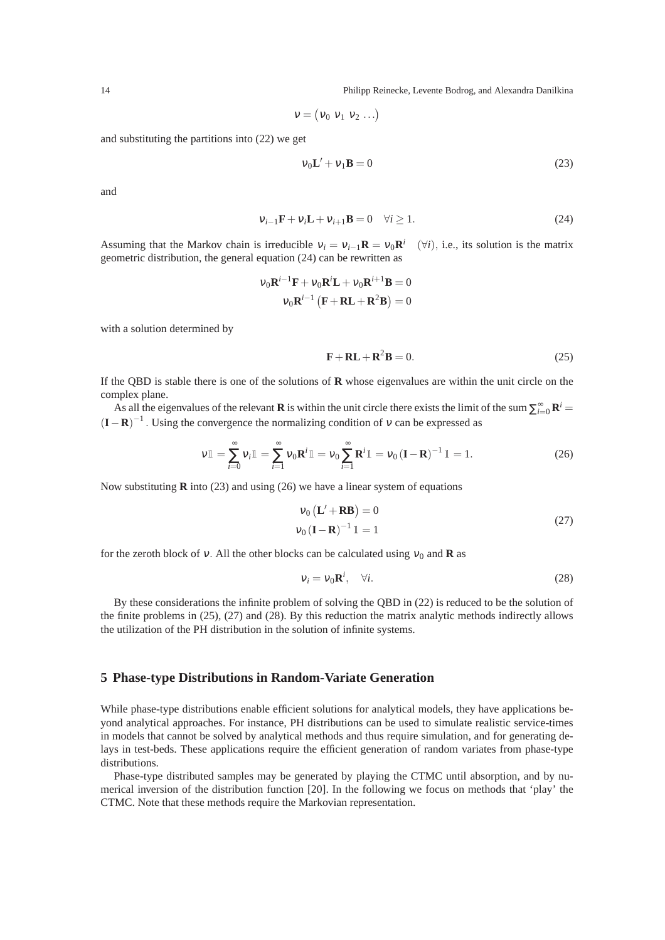14 Philipp Reinecke, Levente Bodrog, and Alexandra Danilkina

$$
v = (v_0 \, v_1 \, v_2 \, \ldots)
$$

and substituting the partitions into (22) we get

$$
v_0 \mathbf{L}' + v_1 \mathbf{B} = 0 \tag{23}
$$

and

$$
v_{i-1}\mathbf{F} + v_i\mathbf{L} + v_{i+1}\mathbf{B} = 0 \quad \forall i \ge 1.
$$
 (24)

Assuming that the Markov chain is irreducible  $v_i = v_{i-1}R = v_0R^i$  ( $\forall i$ ), i.e., its solution is the matrix geometric distribution, the general equation (24) can be rewritten as

$$
v_0 \mathbf{R}^{i-1} \mathbf{F} + v_0 \mathbf{R}^i \mathbf{L} + v_0 \mathbf{R}^{i+1} \mathbf{B} = 0
$$

$$
v_0 \mathbf{R}^{i-1} \left( \mathbf{F} + \mathbf{R} \mathbf{L} + \mathbf{R}^2 \mathbf{B} \right) = 0
$$

with a solution determined by

$$
\mathbf{F} + \mathbf{RL} + \mathbf{R}^2 \mathbf{B} = 0. \tag{25}
$$

If the QBD is stable there is one of the solutions of **R** whose eigenvalues are within the unit circle on the complex plane.

As all the eigenvalues of the relevant **R** is within the unit circle there exists the limit of the sum  $\sum_{i=0}^{\infty} \mathbf{R}^i$  $(**I**−**R**)<sup>-1</sup>$ . Using the convergence the normalizing condition of  $v$  can be expressed as

$$
\mathbf{v}\mathbb{1} = \sum_{i=0}^{\infty} \mathbf{v}_i \mathbb{1} = \sum_{i=1}^{\infty} \mathbf{v}_0 \mathbf{R}^i \mathbb{1} = \mathbf{v}_0 \sum_{i=1}^{\infty} \mathbf{R}^i \mathbb{1} = \mathbf{v}_0 (\mathbf{I} - \mathbf{R})^{-1} \mathbb{1} = 1.
$$
 (26)

Now substituting **R** into (23) and using (26) we have a linear system of equations

$$
v_0 \left( \mathbf{L}' + \mathbf{RB} \right) = 0
$$
  
\n
$$
v_0 \left( \mathbf{I} - \mathbf{R} \right)^{-1} \mathbb{1} = 1
$$
\n(27)

for the zeroth block of v. All the other blocks can be calculated using  $v_0$  and **R** as

$$
v_i = v_0 \mathbf{R}^i, \quad \forall i. \tag{28}
$$

By these considerations the infinite problem of solving the QBD in (22) is reduced to be the solution of the finite problems in (25), (27) and (28). By this reduction the matrix analytic methods indirectly allows the utilization of the PH distribution in the solution of infinite systems.

# **5 Phase-type Distributions in Random-Variate Generation**

While phase-type distributions enable efficient solutions for analytical models, they have applications beyond analytical approaches. For instance, PH distributions can be used to simulate realistic service-times in models that cannot be solved by analytical methods and thus require simulation, and for generating delays in test-beds. These applications require the efficient generation of random variates from phase-type distributions.

Phase-type distributed samples may be generated by playing the CTMC until absorption, and by numerical inversion of the distribution function [20]. In the following we focus on methods that 'play' the CTMC. Note that these methods require the Markovian representation.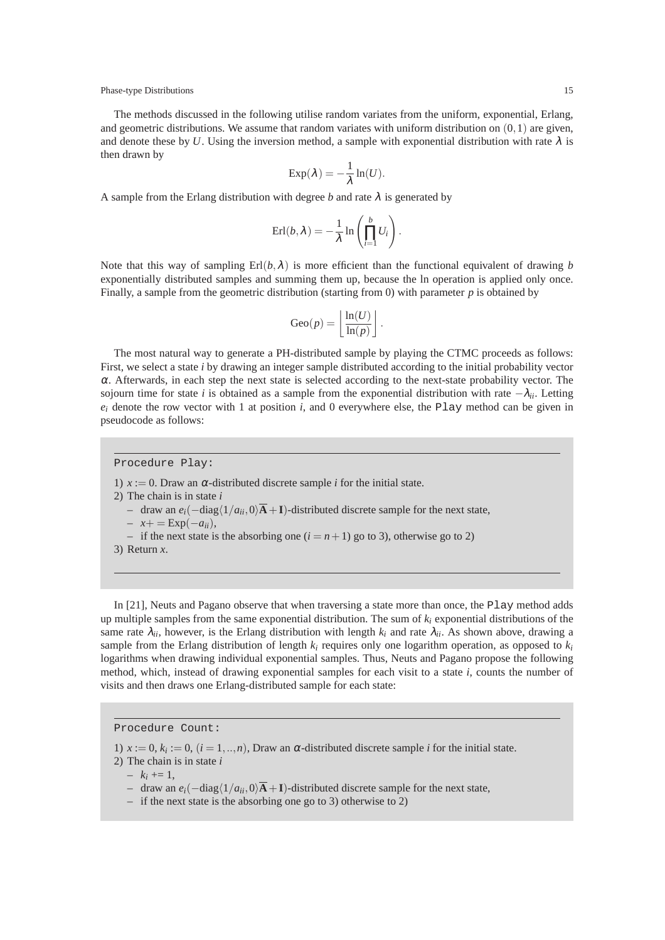The methods discussed in the following utilise random variates from the uniform, exponential, Erlang, and geometric distributions. We assume that random variates with uniform distribution on  $(0,1)$  are given, and denote these by *U*. Using the inversion method, a sample with exponential distribution with rate  $\lambda$  is then drawn by

$$
\mathrm{Exp}(\lambda)=-\frac{1}{\lambda}\ln(U).
$$

A sample from the Erlang distribution with degree *b* and rate  $\lambda$  is generated by

$$
\mathrm{Erl}(b,\lambda) = -\frac{1}{\lambda} \ln \left( \prod_{i=1}^{b} U_i \right).
$$

Note that this way of sampling  $Erl(b,\lambda)$  is more efficient than the functional equivalent of drawing *b* exponentially distributed samples and summing them up, because the ln operation is applied only once. Finally, a sample from the geometric distribution (starting from 0) with parameter  $p$  is obtained by

$$
Geo(p) = \left\lfloor \frac{\ln(U)}{\ln(p)} \right\rfloor.
$$

The most natural way to generate a PH-distributed sample by playing the CTMC proceeds as follows: First, we select a state *i* by drawing an integer sample distributed according to the initial probability vector  $\alpha$ . Afterwards, in each step the next state is selected according to the next-state probability vector. The sojourn time for state *i* is obtained as a sample from the exponential distribution with rate −λ*ii*. Letting  $e_i$  denote the row vector with 1 at position  $i$ , and 0 everywhere else, the Play method can be given in pseudocode as follows:

Procedure Play:

1)  $x := 0$ . Draw an  $\alpha$ -distributed discrete sample *i* for the initial state.

2) The chain is in state *i*

 $-$  draw an  $e_i$ ( $-$ diag $\langle 1/a_{ii},0\rangle$ **A** + **I**)-distributed discrete sample for the next state,

 $- x+=\text{Exp}(-a_{ii}),$ 

- if the next state is the absorbing one  $(i = n + 1)$  go to 3), otherwise go to 2)
- 3) Return *x*.

In [21], Neuts and Pagano observe that when traversing a state more than once, the Play method adds up multiple samples from the same exponential distribution. The sum of  $k_i$  exponential distributions of the same rate  $\lambda_{ii}$ , however, is the Erlang distribution with length  $k_i$  and rate  $\lambda_{ii}$ . As shown above, drawing a sample from the Erlang distribution of length  $k_i$  requires only one logarithm operation, as opposed to  $k_i$ logarithms when drawing individual exponential samples. Thus, Neuts and Pagano propose the following method, which, instead of drawing exponential samples for each visit to a state *i*, counts the number of visits and then draws one Erlang-distributed sample for each state:

## Procedure Count:

1)  $x := 0$ ,  $k_i := 0$ ,  $(i = 1, ..., n)$ , Draw an  $\alpha$ -distributed discrete sample *i* for the initial state.

2) The chain is in state *i*

 $- k_i \neq 1,$ 

- $-$  draw an  $e_i$ ( $-$ diag $\langle 1/a_{ii},0\rangle$ **A** + **I**)-distributed discrete sample for the next state,
- if the next state is the absorbing one go to 3) otherwise to 2)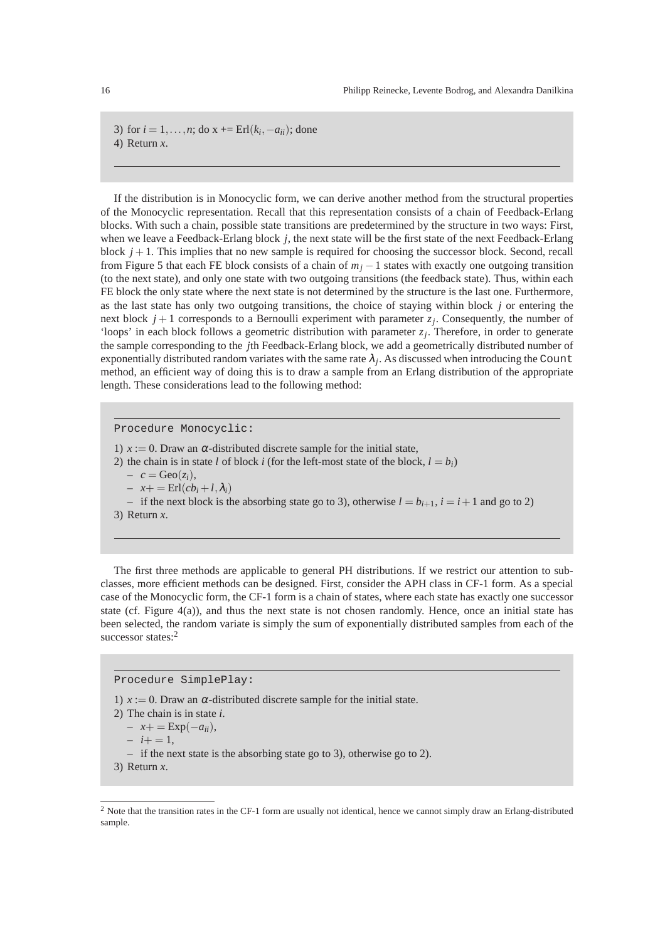3) for  $i = 1, ..., n$ ; do  $x += \text{Erl}(k_i, -a_{ii})$ ; done 4) Return *x*.

If the distribution is in Monocyclic form, we can derive another method from the structural properties of the Monocyclic representation. Recall that this representation consists of a chain of Feedback-Erlang blocks. With such a chain, possible state transitions are predetermined by the structure in two ways: First, when we leave a Feedback-Erlang block *j*, the next state will be the first state of the next Feedback-Erlang block  $j + 1$ . This implies that no new sample is required for choosing the successor block. Second, recall from Figure 5 that each FE block consists of a chain of *m<sup>j</sup>* −1 states with exactly one outgoing transition (to the next state), and only one state with two outgoing transitions (the feedback state). Thus, within each FE block the only state where the next state is not determined by the structure is the last one. Furthermore, as the last state has only two outgoing transitions, the choice of staying within block *j* or entering the next block  $j+1$  corresponds to a Bernoulli experiment with parameter  $z_j$ . Consequently, the number of 'loops' in each block follows a geometric distribution with parameter  $z_j$ . Therefore, in order to generate the sample corresponding to the *j*th Feedback-Erlang block, we add a geometrically distributed number of exponentially distributed random variates with the same rate  $\lambda_j$ . As discussed when introducing the Count method, an efficient way of doing this is to draw a sample from an Erlang distribution of the appropriate length. These considerations lead to the following method:

Procedure Monocyclic:

1)  $x := 0$ . Draw an  $\alpha$ -distributed discrete sample for the initial state,

2) the chain is in state *l* of block *i* (for the left-most state of the block,  $l = b_i$ )

 $-c = \text{Geo}(z_i),$ 

$$
- x + \operatorname{Erl}(cb_i + l, \lambda_i)
$$

– if the next block is the absorbing state go to 3), otherwise  $l = b_{i+1}$ ,  $i = i+1$  and go to 2)

3) Return *x*.

The first three methods are applicable to general PH distributions. If we restrict our attention to subclasses, more efficient methods can be designed. First, consider the APH class in CF-1 form. As a special case of the Monocyclic form, the CF-1 form is a chain of states, where each state has exactly one successor state (cf. Figure  $4(a)$ ), and thus the next state is not chosen randomly. Hence, once an initial state has been selected, the random variate is simply the sum of exponentially distributed samples from each of the successor states:<sup>2</sup>

Procedure SimplePlay:

1)  $x := 0$ . Draw an  $\alpha$ -distributed discrete sample for the initial state.

2) The chain is in state *i*.

 $- x+=\text{Exp}(-a_{ii}),$ 

 $- i + = 1$ ,

– if the next state is the absorbing state go to 3), otherwise go to 2).

3) Return *x*.

<sup>&</sup>lt;sup>2</sup> Note that the transition rates in the CF-1 form are usually not identical, hence we cannot simply draw an Erlang-distributed sample.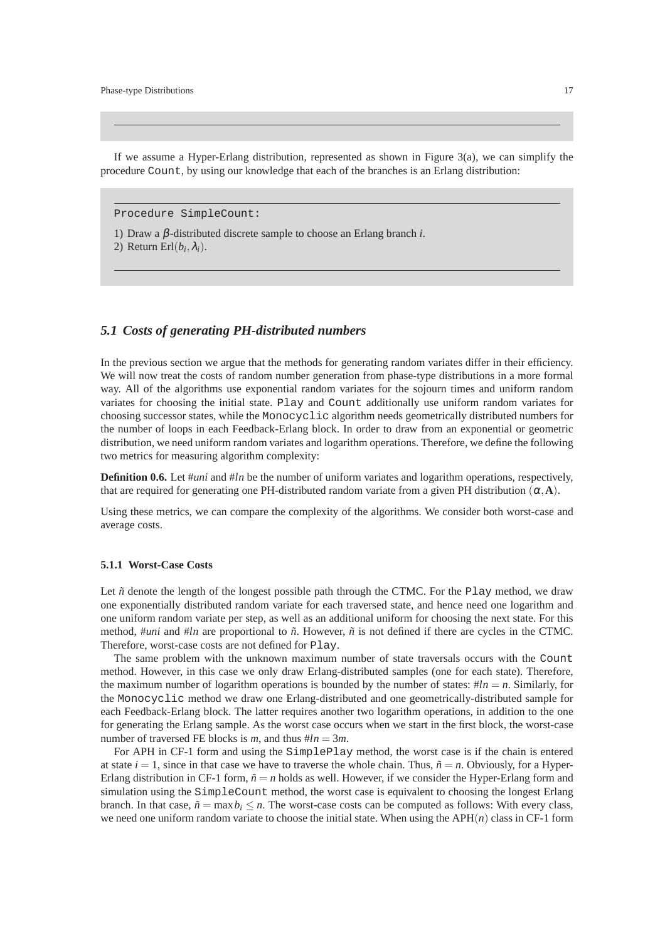If we assume a Hyper-Erlang distribution, represented as shown in Figure  $3(a)$ , we can simplify the procedure Count, by using our knowledge that each of the branches is an Erlang distribution:

Procedure SimpleCount:

1) Draw a β-distributed discrete sample to choose an Erlang branch *i*.

2) Return Erl $(b_i, \lambda_i)$ .

# *5.1 Costs of generating PH-distributed numbers*

In the previous section we argue that the methods for generating random variates differ in their efficiency. We will now treat the costs of random number generation from phase-type distributions in a more formal way. All of the algorithms use exponential random variates for the sojourn times and uniform random variates for choosing the initial state. Play and Count additionally use uniform random variates for choosing successor states, while the Monocyclic algorithm needs geometrically distributed numbers for the number of loops in each Feedback-Erlang block. In order to draw from an exponential or geometric distribution, we need uniform random variates and logarithm operations. Therefore, we define the following two metrics for measuring algorithm complexity:

**Definition 0.6.** Let  $\#uni$  and  $\#In$  be the number of uniform variates and logarithm operations, respectively, that are required for generating one PH-distributed random variate from a given PH distribution  $(\alpha, \mathbf{A})$ .

Using these metrics, we can compare the complexity of the algorithms. We consider both worst-case and average costs.

#### **5.1.1 Worst-Case Costs**

Let  $\tilde{n}$  denote the length of the longest possible path through the CTMC. For the Play method, we draw one exponentially distributed random variate for each traversed state, and hence need one logarithm and one uniform random variate per step, as well as an additional uniform for choosing the next state. For this method, #*uni* and #*ln* are proportional to  $\tilde{n}$ . However,  $\tilde{n}$  is not defined if there are cycles in the CTMC. Therefore, worst-case costs are not defined for Play.

The same problem with the unknown maximum number of state traversals occurs with the Count method. However, in this case we only draw Erlang-distributed samples (one for each state). Therefore, the maximum number of logarithm operations is bounded by the number of states:  $#ln = n$ . Similarly, for the Monocyclic method we draw one Erlang-distributed and one geometrically-distributed sample for each Feedback-Erlang block. The latter requires another two logarithm operations, in addition to the one for generating the Erlang sample. As the worst case occurs when we start in the first block, the worst-case number of traversed FE blocks is *m*, and thus  $#ln = 3m$ .

For APH in CF-1 form and using the SimplePlay method, the worst case is if the chain is entered at state  $i = 1$ , since in that case we have to traverse the whole chain. Thus,  $\tilde{n} = n$ , Obviously, for a Hyper-Erlang distribution in CF-1 form,  $\tilde{n} = n$  holds as well. However, if we consider the Hyper-Erlang form and simulation using the SimpleCount method, the worst case is equivalent to choosing the longest Erlang branch. In that case,  $\tilde{n} = \max b_i \le n$ . The worst-case costs can be computed as follows: With every class, we need one uniform random variate to choose the initial state. When using the APH(*n*) class in CF-1 form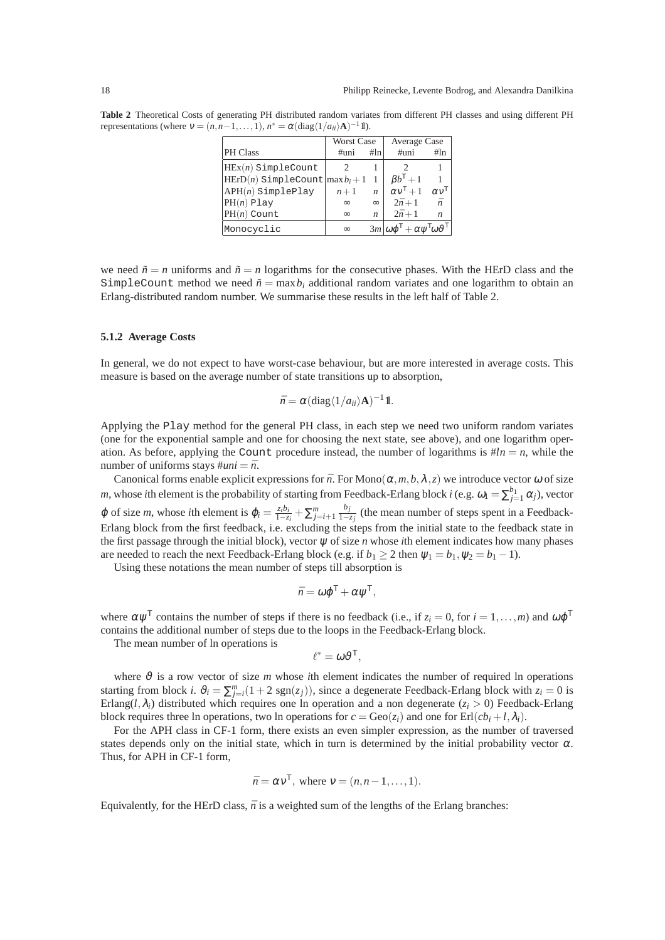**Table 2** Theoretical Costs of generating PH distributed random variates from different PH classes and using different PH representations (where  $v = (n, n-1, ..., 1)$ ,  $n^* = \alpha \left( \frac{diag}{1/a_{ii}} \Delta \right)^{-1} \mathbb{1}$ ).

|                                        | Worst Case |                  | Average Case                                               |                         |
|----------------------------------------|------------|------------------|------------------------------------------------------------|-------------------------|
| <b>PH</b> Class                        | $#$ uni    | #In              | $\#$ uni                                                   | #In                     |
| $HEx(n)$ SimpleCount                   |            |                  |                                                            |                         |
| $ HErD(n)$ SimpleCount $ max b_i + 1 $ |            | -1               | $\beta b^{\mathsf{T}}+1$                                   |                         |
| $APH(n)$ SimplePlay                    | $n+1$      | n                | $\alpha v^{\mathsf{T}}+1$                                  | $\alpha v^{\mathsf{T}}$ |
| $PH(n)$ Play                           | $\infty$   | $\infty$         | $2\bar{n}+1$                                               | $\bar{n}$               |
| $PH(n)$ Count                          | $\infty$   | $\boldsymbol{n}$ | $2\bar{n}+1$                                               | n                       |
| Monocyclic                             | $\infty$   |                  | $3m \omega\varphi^{T} + \alpha\psi^{T}\omega\vartheta^{T}$ |                         |

we need  $\tilde{n} = n$  uniforms and  $\tilde{n} = n$  logarithms for the consecutive phases. With the HErD class and the SimpleCount method we need  $\tilde{n} = \max b_i$  additional random variates and one logarithm to obtain an Erlang-distributed random number. We summarise these results in the left half of Table 2.

#### **5.1.2 Average Costs**

In general, we do not expect to have worst-case behaviour, but are more interested in average costs. This measure is based on the average number of state transitions up to absorption,

$$
\bar{n} = \alpha (\text{diag}\langle 1/a_{ii} \rangle \mathbf{A})^{-1} \mathbf{1}.
$$

Applying the Play method for the general PH class, in each step we need two uniform random variates (one for the exponential sample and one for choosing the next state, see above), and one logarithm operation. As before, applying the Count procedure instead, the number of logarithms is  $#ln = n$ , while the number of uniforms stays  $\#uni = \bar{n}$ .

Canonical forms enable explicit expressions for  $\bar{n}$ . For Mono $(\alpha, m, b, \lambda, z)$  we introduce vector  $\omega$  of size *m*, whose *i*th element is the probability of starting from Feedback-Erlang block *i* (e.g.  $\omega_1 = \sum_{j=1}^{b_1} \alpha_j$ ), vector  $\varphi$  of size *m*, whose *i*th element is  $\varphi_i = \frac{z_i b_i}{1 - z_i} + \sum_{j=i+1}^{m} \frac{b_j}{1 - z_j}$  $\frac{v_j}{1-z_j}$  (the mean number of steps spent in a Feedback-Erlang block from the first feedback, i.e. excluding the steps from the initial state to the feedback state in the first passage through the initial block), vector  $\psi$  of size *n* whose *i*th element indicates how many phases are needed to reach the next Feedback-Erlang block (e.g. if  $b_1 \geq 2$  then  $\psi_1 = b_1, \psi_2 = b_1 - 1$ ).

Using these notations the mean number of steps till absorption is

$$
\bar{n} = \omega \varphi^{\mathsf{T}} + \alpha \psi^{\mathsf{T}},
$$

where  $\alpha \psi^T$  contains the number of steps if there is no feedback (i.e., if  $z_i = 0$ , for  $i = 1, ..., m$ ) and  $\omega \varphi^T$ contains the additional number of steps due to the loops in the Feedback-Erlang block.

The mean number of ln operations is

$$
\ell^* = \omega \vartheta^{\mathsf{T}},
$$

where  $\vartheta$  is a row vector of size *m* whose *i*th element indicates the number of required ln operations starting from block *i*.  $\vartheta_i = \sum_{j=i}^{m} (1 + 2 \text{ sgn}(z_j))$ , since a degenerate Feedback-Erlang block with  $z_i = 0$  is Erlang( $l$ , $\lambda$ <sub>*i*</sub>) distributed which requires one ln operation and a non degenerate ( $z$ <sup>*i*</sup> > 0) Feedback-Erlang block requires three ln operations, two ln operations for  $c = \text{Geo}(z_i)$  and one for  $\text{Erl}(cb_i + l, \lambda_i)$ .

For the APH class in CF-1 form, there exists an even simpler expression, as the number of traversed states depends only on the initial state, which in turn is determined by the initial probability vector  $\alpha$ . Thus, for APH in CF-1 form,

$$
\bar{n} = \alpha v^{\mathsf{T}}
$$
, where  $v = (n, n-1, \ldots, 1)$ .

Equivalently, for the HErD class,  $\bar{n}$  is a weighted sum of the lengths of the Erlang branches: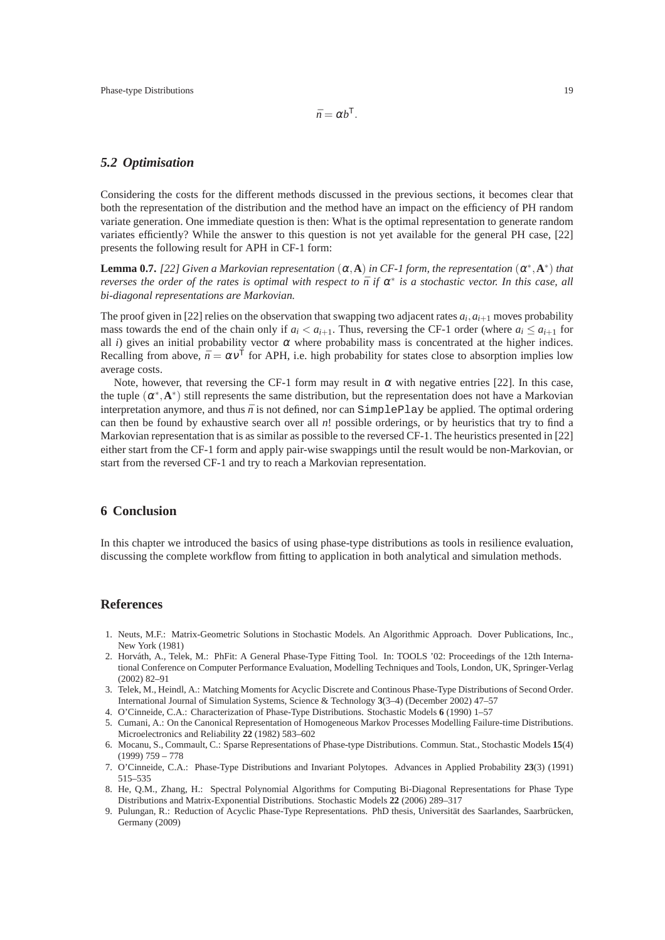## *5.2 Optimisation*

Considering the costs for the different methods discussed in the previous sections, it becomes clear that both the representation of the distribution and the method have an impact on the efficiency of PH random variate generation. One immediate question is then: What is the optimal representation to generate random variates efficiently? While the answer to this question is not yet available for the general PH case, [22] presents the following result for APH in CF-1 form:

**Lemma 0.7.** [22] Given a Markovian representation  $(\alpha, \mathbf{A})$  in CF-1 form, the representation  $(\alpha^*, \mathbf{A}^*)$  that *reverses the order of the rates is optimal with respect to*  $\bar{n}$  *if*  $\alpha^*$  *is a stochastic vector. In this case, all bi-diagonal representations are Markovian.*

The proof given in [22] relies on the observation that swapping two adjacent rates  $a_i, a_{i+1}$  moves probability mass towards the end of the chain only if  $a_i < a_{i+1}$ . Thus, reversing the CF-1 order (where  $a_i \le a_{i+1}$  for all *i*) gives an initial probability vector  $\alpha$  where probability mass is concentrated at the higher indices. Recalling from above,  $\bar{n} = \alpha v^{\mathsf{T}}$  for APH, i.e. high probability for states close to absorption implies low average costs.

Note, however, that reversing the CF-1 form may result in  $\alpha$  with negative entries [22]. In this case, the tuple  $(\alpha^*, A^*)$  still represents the same distribution, but the representation does not have a Markovian interpretation anymore, and thus  $\bar{n}$  is not defined, nor can SimplePlay be applied. The optimal ordering can then be found by exhaustive search over all *n*! possible orderings, or by heuristics that try to find a Markovian representation that is as similar as possible to the reversed CF-1. The heuristics presented in [22] either start from the CF-1 form and apply pair-wise swappings until the result would be non-Markovian, or start from the reversed CF-1 and try to reach a Markovian representation.

# **6 Conclusion**

In this chapter we introduced the basics of using phase-type distributions as tools in resilience evaluation, discussing the complete workflow from fitting to application in both analytical and simulation methods.

#### **References**

- 1. Neuts, M.F.: Matrix-Geometric Solutions in Stochastic Models. An Algorithmic Approach. Dover Publications, Inc., New York (1981)
- 2. Horváth, A., Telek, M.: PhFit: A General Phase-Type Fitting Tool. In: TOOLS '02: Proceedings of the 12th International Conference on Computer Performance Evaluation, Modelling Techniques and Tools, London, UK, Springer-Verlag (2002) 82–91
- 3. Telek, M., Heindl, A.: Matching Moments for Acyclic Discrete and Continous Phase-Type Distributions of Second Order. International Journal of Simulation Systems, Science & Technology **3**(3–4) (December 2002) 47–57
- 4. O'Cinneide, C.A.: Characterization of Phase-Type Distributions. Stochastic Models **6** (1990) 1–57
- 5. Cumani, A.: On the Canonical Representation of Homogeneous Markov Processes Modelling Failure-time Distributions. Microelectronics and Reliability **22** (1982) 583–602
- 6. Mocanu, S., Commault, C.: Sparse Representations of Phase-type Distributions. Commun. Stat., Stochastic Models **15**(4)  $(1999)$  759 – 778
- 7. O'Cinneide, C.A.: Phase-Type Distributions and Invariant Polytopes. Advances in Applied Probability **23**(3) (1991) 515–535
- 8. He, Q.M., Zhang, H.: Spectral Polynomial Algorithms for Computing Bi-Diagonal Representations for Phase Type Distributions and Matrix-Exponential Distributions. Stochastic Models **22** (2006) 289–317
- 9. Pulungan, R.: Reduction of Acyclic Phase-Type Representations. PhD thesis, Universität des Saarlandes, Saarbrücken, Germany (2009)